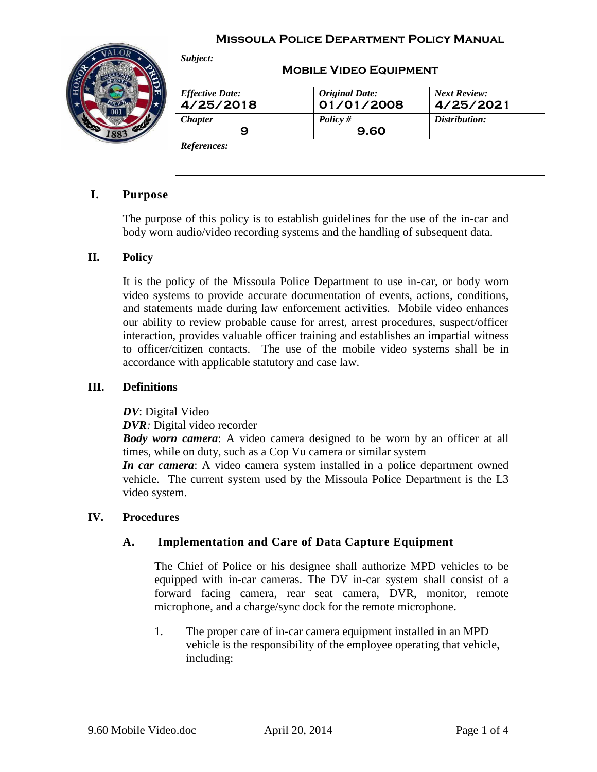#### **Missoula Police Department Policy Manual**



| <b>Effective Date:</b> | <b>Original Date:</b> | <b>Next Review:</b> |
|------------------------|-----------------------|---------------------|
| 4/25/2018              | 01/01/2008            | 4/25/2021           |
| <b>Chapter</b>         | Policy $#$<br>9.60    | Distribution:       |

### **I. Purpose**

The purpose of this policy is to establish guidelines for the use of the in-car and body worn audio/video recording systems and the handling of subsequent data.

#### **II. Policy**

It is the policy of the Missoula Police Department to use in-car, or body worn video systems to provide accurate documentation of events, actions, conditions, and statements made during law enforcement activities. Mobile video enhances our ability to review probable cause for arrest, arrest procedures, suspect/officer interaction, provides valuable officer training and establishes an impartial witness to officer/citizen contacts. The use of the mobile video systems shall be in accordance with applicable statutory and case law.

#### **III. Definitions**

*DV*: Digital Video

*DVR:* Digital video recorder

*Body worn camera*: A video camera designed to be worn by an officer at all times, while on duty, such as a Cop Vu camera or similar system

*In car camera*: A video camera system installed in a police department owned vehicle. The current system used by the Missoula Police Department is the L3 video system.

#### **IV. Procedures**

#### **A. Implementation and Care of Data Capture Equipment**

The Chief of Police or his designee shall authorize MPD vehicles to be equipped with in-car cameras. The DV in-car system shall consist of a forward facing camera, rear seat camera, DVR, monitor, remote microphone, and a charge/sync dock for the remote microphone.

1. The proper care of in-car camera equipment installed in an MPD vehicle is the responsibility of the employee operating that vehicle, including: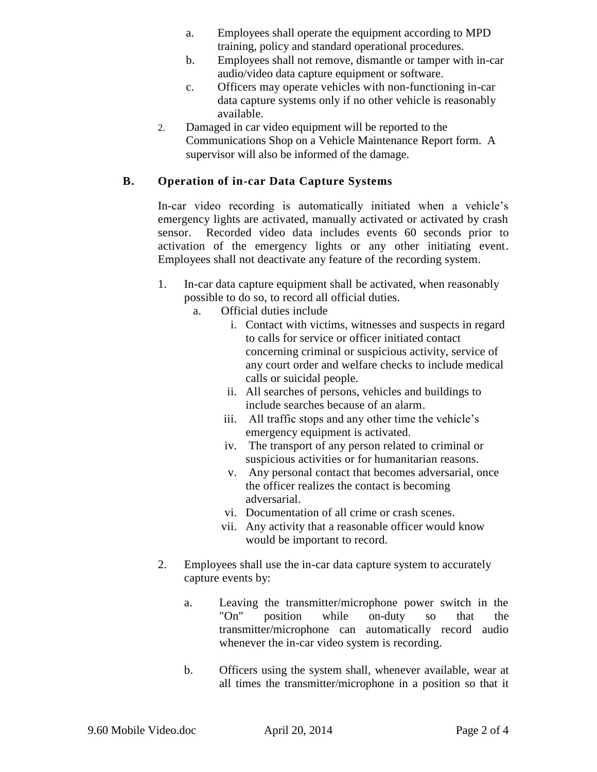- a. Employees shall operate the equipment according to MPD training, policy and standard operational procedures.
- b. Employees shall not remove, dismantle or tamper with in-car audio/video data capture equipment or software.
- c. Officers may operate vehicles with non-functioning in-car data capture systems only if no other vehicle is reasonably available.
- 2. Damaged in car video equipment will be reported to the Communications Shop on a Vehicle Maintenance Report form. A supervisor will also be informed of the damage.

## **B. Operation of in-car Data Capture Systems**

In-car video recording is automatically initiated when a vehicle's emergency lights are activated, manually activated or activated by crash sensor. Recorded video data includes events 60 seconds prior to activation of the emergency lights or any other initiating event. Employees shall not deactivate any feature of the recording system.

- 1. In-car data capture equipment shall be activated, when reasonably possible to do so, to record all official duties.
	- a. Official duties include
		- i. Contact with victims, witnesses and suspects in regard to calls for service or officer initiated contact concerning criminal or suspicious activity, service of any court order and welfare checks to include medical calls or suicidal people.
		- ii. All searches of persons, vehicles and buildings to include searches because of an alarm.
		- iii. All traffic stops and any other time the vehicle's emergency equipment is activated.
		- iv. The transport of any person related to criminal or suspicious activities or for humanitarian reasons.
		- v. Any personal contact that becomes adversarial, once the officer realizes the contact is becoming adversarial.
		- vi. Documentation of all crime or crash scenes.
		- vii. Any activity that a reasonable officer would know would be important to record.
- 2. Employees shall use the in-car data capture system to accurately capture events by:
	- a. Leaving the transmitter/microphone power switch in the "On" position while on-duty so that the transmitter/microphone can automatically record audio whenever the in-car video system is recording.
	- b. Officers using the system shall, whenever available, wear at all times the transmitter/microphone in a position so that it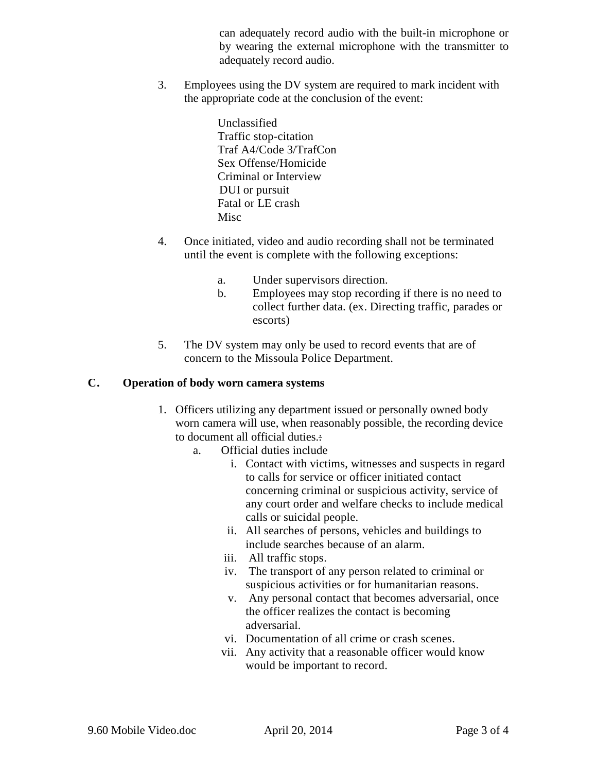can adequately record audio with the built-in microphone or by wearing the external microphone with the transmitter to adequately record audio.

3. Employees using the DV system are required to mark incident with the appropriate code at the conclusion of the event:

> Unclassified Traffic stop-citation Traf A4/Code 3/TrafCon Sex Offense/Homicide Criminal or Interview DUI or pursuit Fatal or LE crash **Misc**

- 4. Once initiated, video and audio recording shall not be terminated until the event is complete with the following exceptions:
	- a. Under supervisors direction.
	- b. Employees may stop recording if there is no need to collect further data. (ex. Directing traffic, parades or escorts)
- 5. The DV system may only be used to record events that are of concern to the Missoula Police Department.

## **C. Operation of body worn camera systems**

- 1. Officers utilizing any department issued or personally owned body worn camera will use, when reasonably possible, the recording device to document all official duties.:
	- a. Official duties include
		- i. Contact with victims, witnesses and suspects in regard to calls for service or officer initiated contact concerning criminal or suspicious activity, service of any court order and welfare checks to include medical calls or suicidal people.
		- ii. All searches of persons, vehicles and buildings to include searches because of an alarm.
		- iii. All traffic stops.
		- iv. The transport of any person related to criminal or suspicious activities or for humanitarian reasons.
		- v. Any personal contact that becomes adversarial, once the officer realizes the contact is becoming adversarial.
		- vi. Documentation of all crime or crash scenes.
		- vii. Any activity that a reasonable officer would know would be important to record.